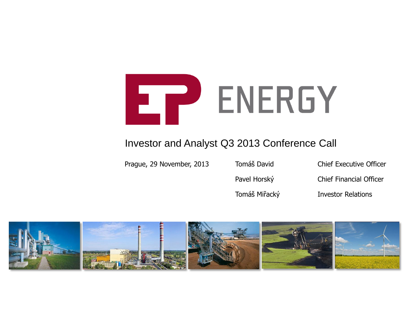

#### Investor and Analyst Q3 2013 Conference Call

Prague, 29 November, 2013 Tomáš David Chief Executive Officer

Pavel Horský Chief Financial Officer

Tomáš Miřacký Investor Relations

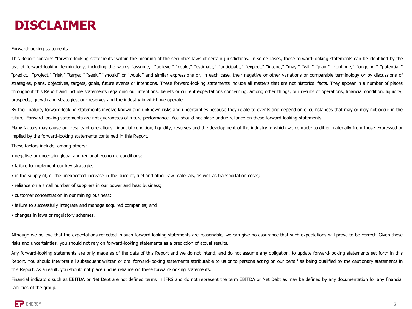#### **DISCLAIMER**

#### Forward-looking statements

This Report contains "forward-looking statements" within the meaning of the securities laws of certain jurisdictions. In some cases, these forward-looking statements can be identified by the use of forward-looking terminology, including the words "assume," "believe," "could," "estimate," "anticipate," "expect," "intend," "may," "will," "plan," "continue," "ongoing," "potential," "predict," "project," "risk," "target," "seek," "should" or "would" and similar expressions or, in each case, their negative or other variations or comparable terminology or by discussions of strategies, plans, objectives, targets, goals, future events or intentions. These forward-looking statements include all matters that are not historical facts. They appear in a number of places throughout this Report and include statements regarding our intentions, beliefs or current expectations concerning, among other things, our results of operations, financial condition, liquidity, prospects, growth and strategies, our reserves and the industry in which we operate.

By their nature, forward-looking statements involve known and unknown risks and uncertainties because they relate to events and depend on circumstances that may or may not occur in the future. Forward-looking statements are not guarantees of future performance. You should not place undue reliance on these forward-looking statements.

Many factors may cause our results of operations, financial condition, liquidity, reserves and the development of the industry in which we compete to differ materially from those expressed or implied by the forward-looking statements contained in this Report.

These factors include, among others:

- negative or uncertain global and regional economic conditions;
- failure to implement our key strategies;
- in the supply of, or the unexpected increase in the price of, fuel and other raw materials, as well as transportation costs;
- reliance on a small number of suppliers in our power and heat business;
- customer concentration in our mining business;
- failure to successfully integrate and manage acquired companies; and
- changes in laws or regulatory schemes.

Although we believe that the expectations reflected in such forward-looking statements are reasonable, we can give no assurance that such expectations will prove to be correct. Given these risks and uncertainties, you should not rely on forward-looking statements as a prediction of actual results.

Any forward-looking statements are only made as of the date of this Report and we do not intend, and do not assume any obligation, to update forward-looking statements set forth in this Report. You should interpret all subsequent written or oral forward-looking statements attributable to us or to persons acting on our behalf as being qualified by the cautionary statements in this Report. As a result, you should not place undue reliance on these forward-looking statements.

Financial indicators such as EBITDA or Net Debt are not defined terms in IFRS and do not represent the term EBITDA or Net Debt as may be defined by any documentation for any financial liabilities of the group.

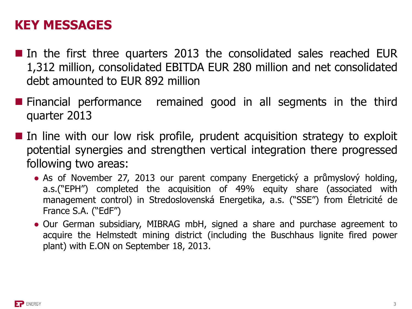#### **KEY MESSAGES**

- In the first three quarters 2013 the consolidated sales reached EUR 1,312 million, consolidated EBITDA EUR 280 million and net consolidated debt amounted to EUR 892 million
- **Financial performance remained good in all segments in the third** quarter 2013
- In line with our low risk profile, prudent acquisition strategy to exploit potential synergies and strengthen vertical integration there progressed following two areas:
	- As of November 27, 2013 our parent company Energetický a průmyslový holding, a.s.("EPH") completed the acquisition of 49% equity share (associated with management control) in Stredoslovenská Energetika, a.s. ("SSE") from Életricité de France S.A. ("EdF")
	- Our German subsidiary, MIBRAG mbH, signed a share and purchase agreement to acquire the Helmstedt mining district (including the Buschhaus lignite fired power plant) with E.ON on September 18, 2013.

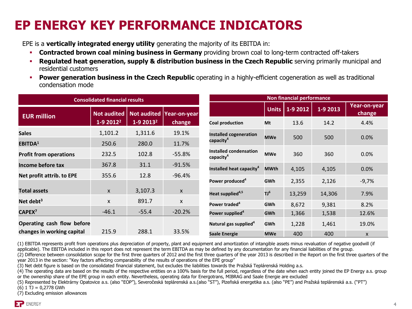### **EP ENERGY KEY PERFORMANCE INDICATORS**

EPE is a **vertically integrated energy utility** generating the majority of its EBITDA in:

- **Contracted brown coal mining business in Germany** providing brown coal to long-term contracted off-takers
- **Regulated heat generation, supply & distribution business in the Czech Republic serving primarily municipal and** residential customers
- **Power generation business in the Czech Republic** operating in a highly-efficient cogeneration as well as traditional condensation mode

| <b>Consolidated financial results</b> |                                   |                       | Non financial performance            |                                                 |                 |          |          |                        |
|---------------------------------------|-----------------------------------|-----------------------|--------------------------------------|-------------------------------------------------|-----------------|----------|----------|------------------------|
| <b>EUR million</b>                    | <b>Not audited</b><br>$1-92012^2$ | 1-9 2013 <sup>2</sup> | Not audited   Year-on-year<br>change |                                                 | <b>Units</b>    | 1-9 2012 | 1-9 2013 | Year-on-year<br>change |
|                                       |                                   |                       |                                      | <b>Coal production</b>                          | Mt              | 13.6     | 14.2     | 4.4%                   |
| <b>Sales</b>                          | 1,101.2                           | 1,311.6               | 19.1%                                | <b>Installed cogeneration</b>                   | <b>MWe</b>      | 500      | 500      | 0.0%                   |
| EBITDA <sup>1</sup>                   | 250.6                             | 280.0                 | 11.7%                                | capacity <sup>4</sup>                           |                 |          |          |                        |
| <b>Profit from operations</b>         | 232.5                             | 102.8                 | $-55.8%$                             | Installed condensation<br>capacity <sup>4</sup> | <b>MWe</b>      | 360      | 360      | 0.0%                   |
| Income before tax                     | 367.8                             | 31.1                  | $-91.5%$                             | Installed heat capacity <sup>4</sup>            | <b>MWth</b>     | 4,105    | 4,105    | 0.0%                   |
| Net profit attrib. to EPE             | 355.6                             | 12.8                  | $-96.4%$                             | Power produced <sup>4</sup>                     | <b>GWh</b>      | 2,355    | 2,126    | $-9,7%$                |
| <b>Total assets</b>                   | $\mathsf{x}$                      | 3,107.3               | X                                    | Heat supplied <sup>4,5</sup>                    | TJ <sup>6</sup> | 13,259   | 14,306   | 7.9%                   |
| Net debt <sup>3</sup>                 | $\mathsf{x}$                      | 891.7                 | X                                    | Power traded <sup>4</sup>                       | GWh             | 8,672    | 9,381    | 8.2%                   |
| CAPEX <sup>7</sup>                    | $-46.1$                           | $-55.4$               | $-20.2%$                             | Power supplied <sup>4</sup>                     | GWh             | 1,366    | 1,538    | 12.6%                  |
| Operating cash flow before            |                                   |                       |                                      | Natural gas supplied <sup>4</sup>               | GWh             | 1,228    | 1,461    | 19.0%                  |
| changes in working capital            | 215.9                             | 288.1                 | 33.5%                                | Saale Energie                                   | <b>MWe</b>      | 400      | 400      | X                      |

(1) EBITDA represents profit from operations plus depreciation of property, plant and equipment and amortization of intangible assets minus revaluation of negative goodwill (if applicable). The EBITDA included in this report does not represent the term EBITDA as may be defined by any documentation for any financial liabilities of the group.

(2) Difference between consolidation scope for the first three quarters of 2012 and the first three quarters of the year 2013 is described in the Report on the first three quarters of the year 2013 in the section: "Key factors affecting comparability of the results of operations of the EPE group"

(3) Net debt figure is based on the consolidated financial statement, but excludes the liabilities towards the Pražská Teplárenská Holding a.s.

(4) The operating data are based on the results of the respective entities on a 100% basis for the full period, regardless of the date when each entity joined the EP Energy a.s. group or the ownership share of the EPE group in each entity. Nevertheless, operating data for Energotrans, MIBRAG and Saale Energie are excluded

(5) Represented by Elektrárny Opatovice a.s. (also "EOP"), Severočeská teplárenská a.s.(also "ST"), Plzeňská energetika a.s. (also "PE") and Pražská teplárenská a.s. ("PT")

 $(6)$  1 TJ = 0,2778 GWh

(7) Excluding emission allowances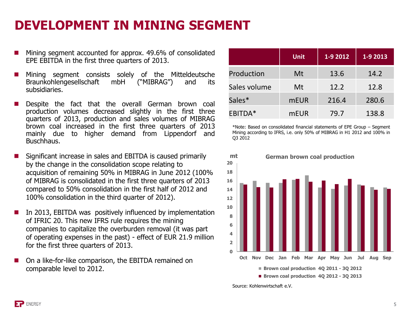### **DEVELOPMENT IN MINING SEGMENT**

- Mining segment accounted for approx. 49.6% of consolidated EPE EBITDA in the first three quarters of 2013.
- Mining segment consists solely of the Mitteldeutsche Braunkohlengesellschaft mbH ("MIBRAG") and its subsidiaries.
- Despite the fact that the overall German brown coal production volumes decreased slightly in the first three quarters of 2013, production and sales volumes of MIBRAG brown coal increased in the first three quarters of 2013 mainly due to higher demand from Lippendorf and Buschhaus.
- Significant increase in sales and EBITDA is caused primarily by the change in the consolidation scope relating to acquisition of remaining 50% in MIBRAG in June 2012 (100% of MIBRAG is consolidated in the first three quarters of 2013 compared to 50% consolidation in the first half of 2012 and 100% consolidation in the third quarter of 2012).
- In 2013, EBITDA was positively influenced by implementation of IFRIC 20. This new IFRS rule requires the mining companies to capitalize the overburden removal (it was part of operating expenses in the past) - effect of EUR 21.9 million for the first three quarters of 2013.
- On a like-for-like comparison, the EBITDA remained on comparable level to 2012.

|              | <b>Unit</b> | 1-9 2012 | 1-9 2013 |
|--------------|-------------|----------|----------|
| Production   | Mt          | 13.6     | 14.2     |
| Sales volume | Mt          | 12.2     | 12.8     |
| Sales*       | <b>mEUR</b> | 216.4    | 280.6    |
| EBITDA*      | <b>mEUR</b> | 79.7     | 138.8    |

\*Note: Based on consolidated financial statements of EPE Group – Segment Mining according to IFRS, i.e. only 50% of MIBRAG in H1 2012 and 100% in Q3 2012



Source: Kohlenwirtschaft e.V.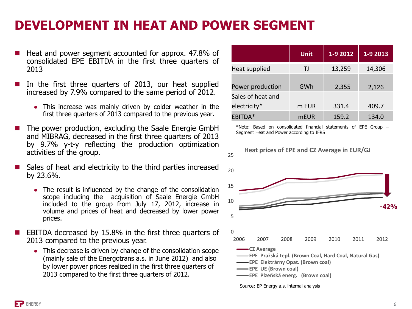#### **DEVELOPMENT IN HEAT AND POWER SEGMENT**

- Heat and power segment accounted for approx. 47.8% of consolidated EPE EBITDA in the first three quarters of 2013
- In the first three quarters of 2013, our heat supplied increased by 7.9% compared to the same period of 2012.
	- This increase was mainly driven by colder weather in the first three quarters of 2013 compared to the previous year.
- The power production, excluding the Saale Energie GmbH and MIBRAG, decreased in the first three quarters of 2013 by 9.7% y-t-y reflecting the production optimization activities of the group.
- Sales of heat and electricity to the third parties increased by 23.6%.
	- The result is influenced by the change of the consolidation scope including the acquisition of Saale Energie GmbH included to the group from July 17, 2012, increase in volume and prices of heat and decreased by lower power prices.
- EBITDA decreased by 15.8% in the first three quarters of 2013 compared to the previous year.
	- This decrease is driven by change of the consolidation scope (mainly sale of the Energotrans a.s. in June 2012) and also by lower power prices realized in the first three quarters of 2013 compared to the first three quarters of 2012.

|                   | <b>Unit</b> | 1-9 2012 | $1 - 92013$ |
|-------------------|-------------|----------|-------------|
| Heat supplied     | TJ.         | 13,259   | 14,306      |
| Power production  | GWh         | 2,355    | 2,126       |
| Sales of heat and |             |          |             |
| electricity*      | m EUR       | 331.4    | 409.7       |
| EBITDA*           | <b>mEUR</b> | 159.2    | 134.0       |

\*Note: Based on consolidated financial statements of EPE Group – Segment Heat and Power according to IFRS



Source: EP Energy a.s. internal analysis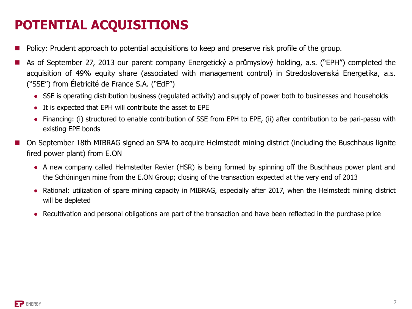## **POTENTIAL ACQUISITIONS**

- Policy: Prudent approach to potential acquisitions to keep and preserve risk profile of the group.
- As of September 27, 2013 our parent company Energetický a průmyslový holding, a.s. ("EPH") completed the acquisition of 49% equity share (associated with management control) in Stredoslovenská Energetika, a.s. ("SSE") from Életricité de France S.A. ("EdF")
	- SSE is operating distribution business (regulated activity) and supply of power both to businesses and households
	- It is expected that EPH will contribute the asset to EPE
	- Financing: (i) structured to enable contribution of SSE from EPH to EPE, (ii) after contribution to be pari-passu with existing EPE bonds
- On September 18th MIBRAG signed an SPA to acquire Helmstedt mining district (including the Buschhaus lignite fired power plant) from E.ON
	- A new company called Helmstedter Revier (HSR) is being formed by spinning off the Buschhaus power plant and the Schöningen mine from the E.ON Group; closing of the transaction expected at the very end of 2013
	- Rational: utilization of spare mining capacity in MIBRAG, especially after 2017, when the Helmstedt mining district will be depleted
	- Recultivation and personal obligations are part of the transaction and have been reflected in the purchase price